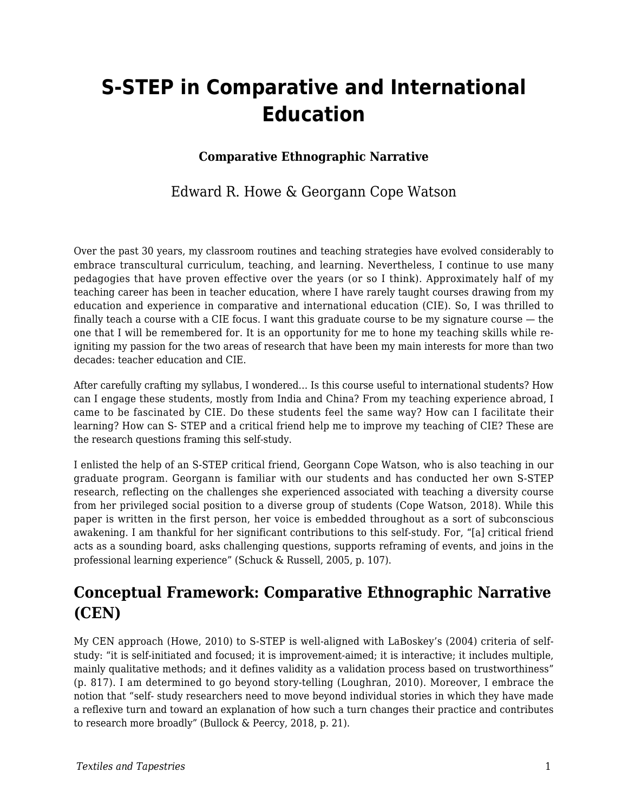# **S-STEP in Comparative and International Education**

#### **Comparative Ethnographic Narrative**

### Edward R. Howe & Georgann Cope Watson

Over the past 30 years, my classroom routines and teaching strategies have evolved considerably to embrace transcultural curriculum, teaching, and learning. Nevertheless, I continue to use many pedagogies that have proven effective over the years (or so I think). Approximately half of my teaching career has been in teacher education, where I have rarely taught courses drawing from my education and experience in comparative and international education (CIE). So, I was thrilled to finally teach a course with a CIE focus. I want this graduate course to be my signature course  $-$  the one that I will be remembered for. It is an opportunity for me to hone my teaching skills while reigniting my passion for the two areas of research that have been my main interests for more than two decades: teacher education and CIE.

After carefully crafting my syllabus, I wondered… Is this course useful to international students? How can I engage these students, mostly from India and China? From my teaching experience abroad, I came to be fascinated by CIE. Do these students feel the same way? How can I facilitate their learning? How can S- STEP and a critical friend help me to improve my teaching of CIE? These are the research questions framing this self-study.

I enlisted the help of an S-STEP critical friend, Georgann Cope Watson, who is also teaching in our graduate program. Georgann is familiar with our students and has conducted her own S-STEP research, reflecting on the challenges she experienced associated with teaching a diversity course from her privileged social position to a diverse group of students (Cope Watson, 2018). While this paper is written in the first person, her voice is embedded throughout as a sort of subconscious awakening. I am thankful for her significant contributions to this self-study. For, "[a] critical friend acts as a sounding board, asks challenging questions, supports reframing of events, and joins in the professional learning experience" (Schuck & Russell, 2005, p. 107).

# **Conceptual Framework: Comparative Ethnographic Narrative (CEN)**

My CEN approach (Howe, 2010) to S-STEP is well-aligned with LaBoskey's (2004) criteria of selfstudy: "it is self-initiated and focused; it is improvement-aimed; it is interactive; it includes multiple, mainly qualitative methods; and it defines validity as a validation process based on trustworthiness" (p. 817). I am determined to go beyond story-telling (Loughran, 2010). Moreover, I embrace the notion that "self- study researchers need to move beyond individual stories in which they have made a reflexive turn and toward an explanation of how such a turn changes their practice and contributes to research more broadly" (Bullock & Peercy, 2018, p. 21).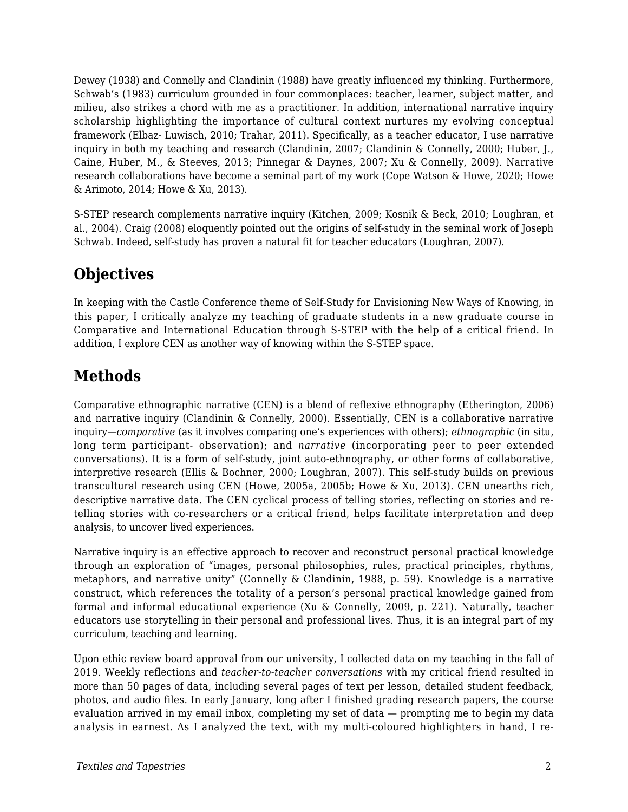Dewey (1938) and Connelly and Clandinin (1988) have greatly influenced my thinking. Furthermore, Schwab's (1983) curriculum grounded in four commonplaces: teacher, learner, subject matter, and milieu, also strikes a chord with me as a practitioner. In addition, international narrative inquiry scholarship highlighting the importance of cultural context nurtures my evolving conceptual framework (Elbaz- Luwisch, 2010; Trahar, 2011). Specifically, as a teacher educator, I use narrative inquiry in both my teaching and research (Clandinin, 2007; Clandinin & Connelly, 2000; Huber, J., Caine, Huber, M., & Steeves, 2013; Pinnegar & Daynes, 2007; Xu & Connelly, 2009). Narrative research collaborations have become a seminal part of my work (Cope Watson & Howe, 2020; Howe & Arimoto, 2014; Howe & Xu, 2013).

S-STEP research complements narrative inquiry (Kitchen, 2009; Kosnik & Beck, 2010; Loughran, et al., 2004). Craig (2008) eloquently pointed out the origins of self-study in the seminal work of Joseph Schwab. Indeed, self-study has proven a natural fit for teacher educators (Loughran, 2007).

# **Objectives**

In keeping with the Castle Conference theme of Self-Study for Envisioning New Ways of Knowing, in this paper, I critically analyze my teaching of graduate students in a new graduate course in Comparative and International Education through S-STEP with the help of a critical friend. In addition, I explore CEN as another way of knowing within the S-STEP space.

# **Methods**

Comparative ethnographic narrative (CEN) is a blend of reflexive ethnography (Etherington, 2006) and narrative inquiry (Clandinin & Connelly, 2000). Essentially, CEN is a collaborative narrative inquiry—*comparative* (as it involves comparing one's experiences with others); *ethnographic* (in situ, long term participant- observation); and *narrative* (incorporating peer to peer extended conversations). It is a form of self-study, joint auto-ethnography, or other forms of collaborative, interpretive research (Ellis & Bochner, 2000; Loughran, 2007). This self-study builds on previous transcultural research using CEN (Howe, 2005a, 2005b; Howe & Xu, 2013). CEN unearths rich, descriptive narrative data. The CEN cyclical process of telling stories, reflecting on stories and retelling stories with co-researchers or a critical friend, helps facilitate interpretation and deep analysis, to uncover lived experiences.

Narrative inquiry is an effective approach to recover and reconstruct personal practical knowledge through an exploration of "images, personal philosophies, rules, practical principles, rhythms, metaphors, and narrative unity" (Connelly & Clandinin, 1988, p. 59). Knowledge is a narrative construct, which references the totality of a person's personal practical knowledge gained from formal and informal educational experience (Xu & Connelly, 2009, p. 221). Naturally, teacher educators use storytelling in their personal and professional lives. Thus, it is an integral part of my curriculum, teaching and learning.

Upon ethic review board approval from our university, I collected data on my teaching in the fall of 2019. Weekly reflections and *teacher-to-teacher conversations* with my critical friend resulted in more than 50 pages of data, including several pages of text per lesson, detailed student feedback, photos, and audio files. In early January, long after I finished grading research papers, the course evaluation arrived in my email inbox, completing my set of data — prompting me to begin my data analysis in earnest. As I analyzed the text, with my multi-coloured highlighters in hand, I re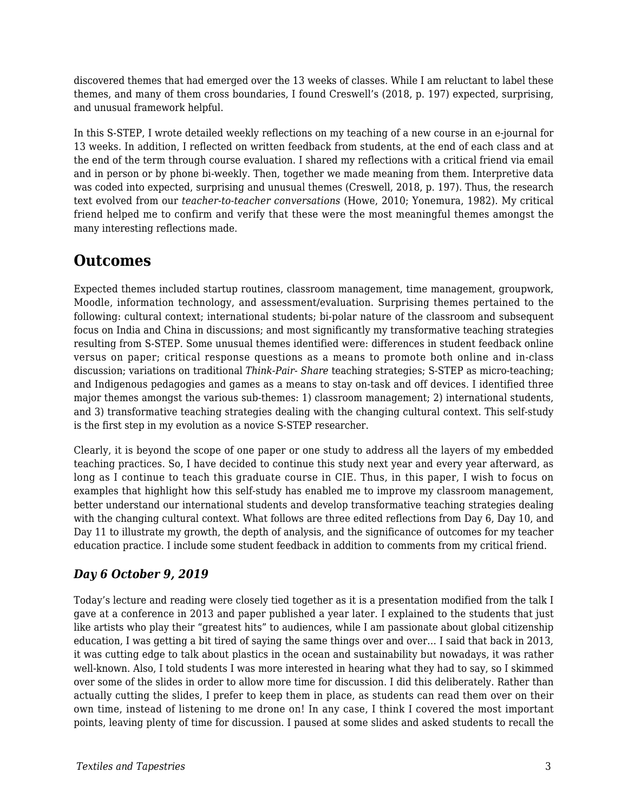discovered themes that had emerged over the 13 weeks of classes. While I am reluctant to label these themes, and many of them cross boundaries, I found Creswell's (2018, p. 197) expected, surprising, and unusual framework helpful.

In this S-STEP, I wrote detailed weekly reflections on my teaching of a new course in an e-journal for 13 weeks. In addition, I reflected on written feedback from students, at the end of each class and at the end of the term through course evaluation. I shared my reflections with a critical friend via email and in person or by phone bi-weekly. Then, together we made meaning from them. Interpretive data was coded into expected, surprising and unusual themes (Creswell, 2018, p. 197). Thus, the research text evolved from our *teacher-to-teacher conversations* (Howe, 2010; Yonemura, 1982). My critical friend helped me to confirm and verify that these were the most meaningful themes amongst the many interesting reflections made.

## **Outcomes**

Expected themes included startup routines, classroom management, time management, groupwork, Moodle, information technology, and assessment/evaluation. Surprising themes pertained to the following: cultural context; international students; bi-polar nature of the classroom and subsequent focus on India and China in discussions; and most significantly my transformative teaching strategies resulting from S-STEP. Some unusual themes identified were: differences in student feedback online versus on paper; critical response questions as a means to promote both online and in-class discussion; variations on traditional *Think-Pair- Share* teaching strategies; S-STEP as micro-teaching; and Indigenous pedagogies and games as a means to stay on-task and off devices. I identified three major themes amongst the various sub-themes: 1) classroom management; 2) international students, and 3) transformative teaching strategies dealing with the changing cultural context. This self-study is the first step in my evolution as a novice S-STEP researcher.

Clearly, it is beyond the scope of one paper or one study to address all the layers of my embedded teaching practices. So, I have decided to continue this study next year and every year afterward, as long as I continue to teach this graduate course in CIE. Thus, in this paper, I wish to focus on examples that highlight how this self-study has enabled me to improve my classroom management, better understand our international students and develop transformative teaching strategies dealing with the changing cultural context. What follows are three edited reflections from Day 6, Day 10, and Day 11 to illustrate my growth, the depth of analysis, and the significance of outcomes for my teacher education practice. I include some student feedback in addition to comments from my critical friend.

#### *Day 6 October 9, 2019*

Today's lecture and reading were closely tied together as it is a presentation modified from the talk I gave at a conference in 2013 and paper published a year later. I explained to the students that just like artists who play their "greatest hits" to audiences, while I am passionate about global citizenship education, I was getting a bit tired of saying the same things over and over… I said that back in 2013, it was cutting edge to talk about plastics in the ocean and sustainability but nowadays, it was rather well-known. Also, I told students I was more interested in hearing what they had to say, so I skimmed over some of the slides in order to allow more time for discussion. I did this deliberately. Rather than actually cutting the slides, I prefer to keep them in place, as students can read them over on their own time, instead of listening to me drone on! In any case, I think I covered the most important points, leaving plenty of time for discussion. I paused at some slides and asked students to recall the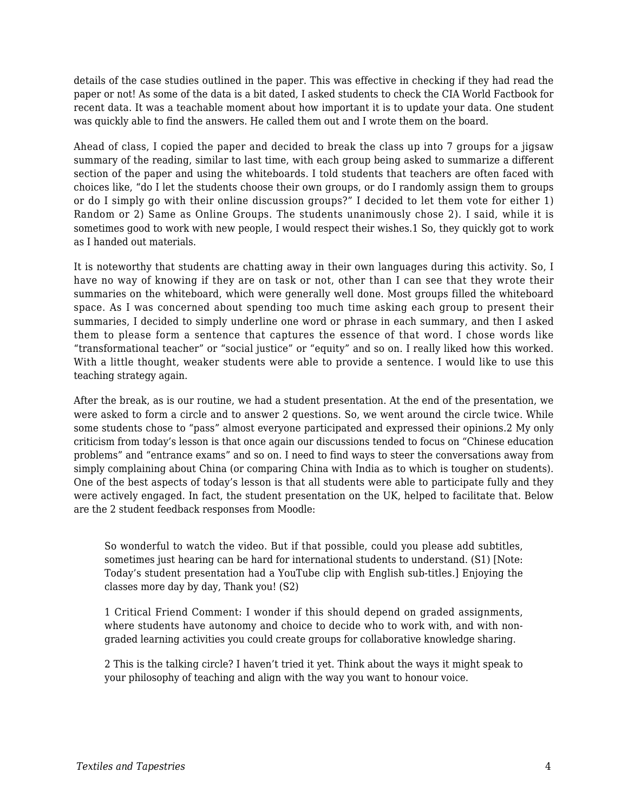details of the case studies outlined in the paper. This was effective in checking if they had read the paper or not! As some of the data is a bit dated, I asked students to check the CIA World Factbook for recent data. It was a teachable moment about how important it is to update your data. One student was quickly able to find the answers. He called them out and I wrote them on the board.

Ahead of class, I copied the paper and decided to break the class up into 7 groups for a jigsaw summary of the reading, similar to last time, with each group being asked to summarize a different section of the paper and using the whiteboards. I told students that teachers are often faced with choices like, "do I let the students choose their own groups, or do I randomly assign them to groups or do I simply go with their online discussion groups?" I decided to let them vote for either 1) Random or 2) Same as Online Groups. The students unanimously chose 2). I said, while it is sometimes good to work with new people, I would respect their wishes.1 So, they quickly got to work as I handed out materials.

It is noteworthy that students are chatting away in their own languages during this activity. So, I have no way of knowing if they are on task or not, other than I can see that they wrote their summaries on the whiteboard, which were generally well done. Most groups filled the whiteboard space. As I was concerned about spending too much time asking each group to present their summaries, I decided to simply underline one word or phrase in each summary, and then I asked them to please form a sentence that captures the essence of that word. I chose words like "transformational teacher" or "social justice" or "equity" and so on. I really liked how this worked. With a little thought, weaker students were able to provide a sentence. I would like to use this teaching strategy again.

After the break, as is our routine, we had a student presentation. At the end of the presentation, we were asked to form a circle and to answer 2 questions. So, we went around the circle twice. While some students chose to "pass" almost everyone participated and expressed their opinions.2 My only criticism from today's lesson is that once again our discussions tended to focus on "Chinese education problems" and "entrance exams" and so on. I need to find ways to steer the conversations away from simply complaining about China (or comparing China with India as to which is tougher on students). One of the best aspects of today's lesson is that all students were able to participate fully and they were actively engaged. In fact, the student presentation on the UK, helped to facilitate that. Below are the 2 student feedback responses from Moodle:

So wonderful to watch the video. But if that possible, could you please add subtitles, sometimes just hearing can be hard for international students to understand. (S1) [Note: Today's student presentation had a YouTube clip with English sub-titles.] Enjoying the classes more day by day, Thank you! (S2)

1 Critical Friend Comment: I wonder if this should depend on graded assignments, where students have autonomy and choice to decide who to work with, and with nongraded learning activities you could create groups for collaborative knowledge sharing.

2 This is the talking circle? I haven't tried it yet. Think about the ways it might speak to your philosophy of teaching and align with the way you want to honour voice.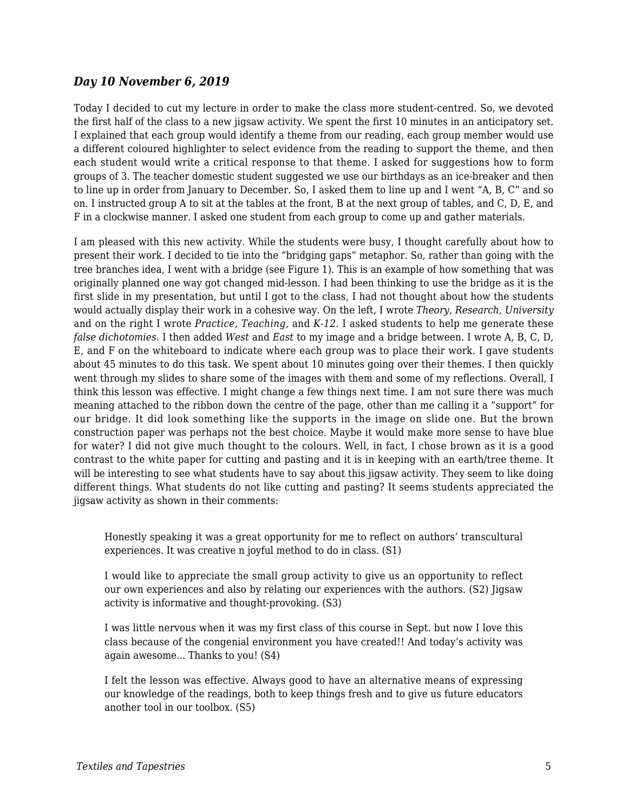#### *Day 10 November 6, 2019*

Today I decided to cut my lecture in order to make the class more student-centred. So, we devoted the first half of the class to a new jigsaw activity. We spent the first 10 minutes in an anticipatory set. I explained that each group would identify a theme from our reading, each group member would use a different coloured highlighter to select evidence from the reading to support the theme, and then each student would write a critical response to that theme. I asked for suggestions how to form groups of 3. The teacher domestic student suggested we use our birthdays as an ice-breaker and then to line up in order from January to December. So, I asked them to line up and I went "A, B, C" and so on. I instructed group A to sit at the tables at the front, B at the next group of tables, and C, D, E, and F in a clockwise manner. I asked one student from each group to come up and gather materials.

I am pleased with this new activity. While the students were busy, I thought carefully about how to present their work. I decided to tie into the "bridging gaps" metaphor. So, rather than going with the tree branches idea, I went with a bridge (see Figure 1). This is an example of how something that was originally planned one way got changed mid-lesson. I had been thinking to use the bridge as it is the first slide in my presentation, but until I got to the class, I had not thought about how the students would actually display their work in a cohesive way. On the left, I wrote *Theory, Research, University* and on the right I wrote *Practice, Teaching,* and *K-12*. I asked students to help me generate these *false dichotomies*. I then added *West* and *East* to my image and a bridge between. I wrote A, B, C, D, E, and F on the whiteboard to indicate where each group was to place their work. I gave students about 45 minutes to do this task. We spent about 10 minutes going over their themes. I then quickly went through my slides to share some of the images with them and some of my reflections. Overall, I think this lesson was effective. I might change a few things next time. I am not sure there was much meaning attached to the ribbon down the centre of the page, other than me calling it a "support" for our bridge. It did look something like the supports in the image on slide one. But the brown construction paper was perhaps not the best choice. Maybe it would make more sense to have blue for water? I did not give much thought to the colours. Well, in fact, I chose brown as it is a good contrast to the white paper for cutting and pasting and it is in keeping with an earth/tree theme. It will be interesting to see what students have to say about this jigsaw activity. They seem to like doing different things. What students do not like cutting and pasting? It seems students appreciated the jigsaw activity as shown in their comments:

Honestly speaking it was a great opportunity for me to reflect on authors' transcultural experiences. It was creative n joyful method to do in class. (S1)

I would like to appreciate the small group activity to give us an opportunity to reflect our own experiences and also by relating our experiences with the authors. (S2) Jigsaw activity is informative and thought-provoking. (S3)

I was little nervous when it was my first class of this course in Sept. but now I love this class because of the congenial environment you have created!! And today's activity was again awesome... Thanks to you! (S4)

I felt the lesson was effective. Always good to have an alternative means of expressing our knowledge of the readings, both to keep things fresh and to give us future educators another tool in our toolbox. (S5)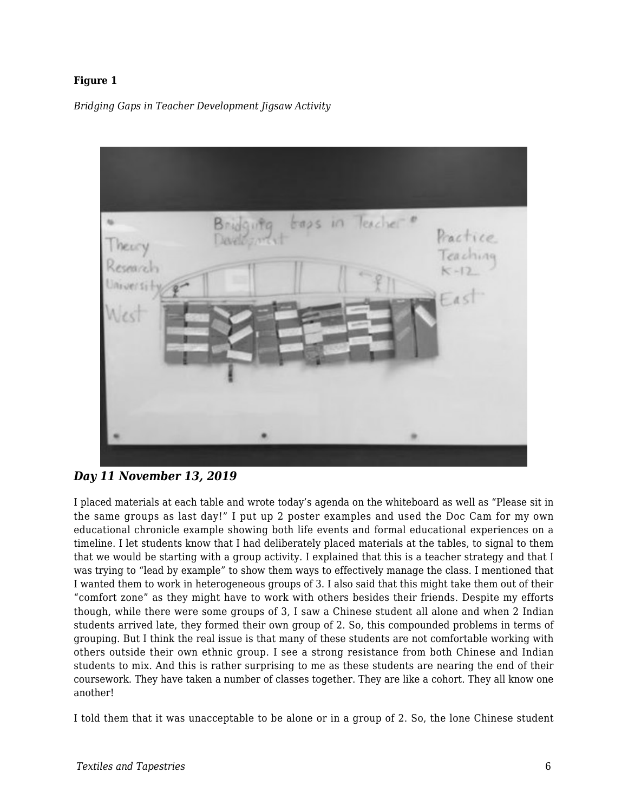#### **Figure 1**

*Bridging Gaps in Teacher Development Jigsaw Activity*



#### *Day 11 November 13, 2019*

I placed materials at each table and wrote today's agenda on the whiteboard as well as "Please sit in the same groups as last day!" I put up 2 poster examples and used the Doc Cam for my own educational chronicle example showing both life events and formal educational experiences on a timeline. I let students know that I had deliberately placed materials at the tables, to signal to them that we would be starting with a group activity. I explained that this is a teacher strategy and that I was trying to "lead by example" to show them ways to effectively manage the class. I mentioned that I wanted them to work in heterogeneous groups of 3. I also said that this might take them out of their "comfort zone" as they might have to work with others besides their friends. Despite my efforts though, while there were some groups of 3, I saw a Chinese student all alone and when 2 Indian students arrived late, they formed their own group of 2. So, this compounded problems in terms of grouping. But I think the real issue is that many of these students are not comfortable working with others outside their own ethnic group. I see a strong resistance from both Chinese and Indian students to mix. And this is rather surprising to me as these students are nearing the end of their coursework. They have taken a number of classes together. They are like a cohort. They all know one another!

I told them that it was unacceptable to be alone or in a group of 2. So, the lone Chinese student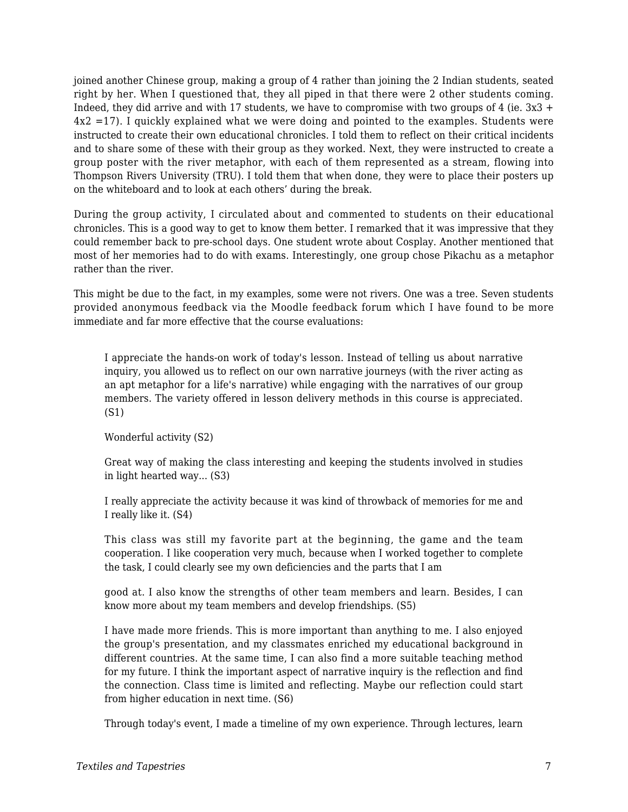joined another Chinese group, making a group of 4 rather than joining the 2 Indian students, seated right by her. When I questioned that, they all piped in that there were 2 other students coming. Indeed, they did arrive and with 17 students, we have to compromise with two groups of 4 (ie.  $3x3 +$ 4x2 =17). I quickly explained what we were doing and pointed to the examples. Students were instructed to create their own educational chronicles. I told them to reflect on their critical incidents and to share some of these with their group as they worked. Next, they were instructed to create a group poster with the river metaphor, with each of them represented as a stream, flowing into Thompson Rivers University (TRU). I told them that when done, they were to place their posters up on the whiteboard and to look at each others' during the break.

During the group activity, I circulated about and commented to students on their educational chronicles. This is a good way to get to know them better. I remarked that it was impressive that they could remember back to pre-school days. One student wrote about Cosplay. Another mentioned that most of her memories had to do with exams. Interestingly, one group chose Pikachu as a metaphor rather than the river.

This might be due to the fact, in my examples, some were not rivers. One was a tree. Seven students provided anonymous feedback via the Moodle feedback forum which I have found to be more immediate and far more effective that the course evaluations:

I appreciate the hands-on work of today's lesson. Instead of telling us about narrative inquiry, you allowed us to reflect on our own narrative journeys (with the river acting as an apt metaphor for a life's narrative) while engaging with the narratives of our group members. The variety offered in lesson delivery methods in this course is appreciated. (S1)

Wonderful activity (S2)

Great way of making the class interesting and keeping the students involved in studies in light hearted way... (S3)

I really appreciate the activity because it was kind of throwback of memories for me and I really like it. (S4)

This class was still my favorite part at the beginning, the game and the team cooperation. I like cooperation very much, because when I worked together to complete the task, I could clearly see my own deficiencies and the parts that I am

good at. I also know the strengths of other team members and learn. Besides, I can know more about my team members and develop friendships. (S5)

I have made more friends. This is more important than anything to me. I also enjoyed the group's presentation, and my classmates enriched my educational background in different countries. At the same time, I can also find a more suitable teaching method for my future. I think the important aspect of narrative inquiry is the reflection and find the connection. Class time is limited and reflecting. Maybe our reflection could start from higher education in next time. (S6)

Through today's event, I made a timeline of my own experience. Through lectures, learn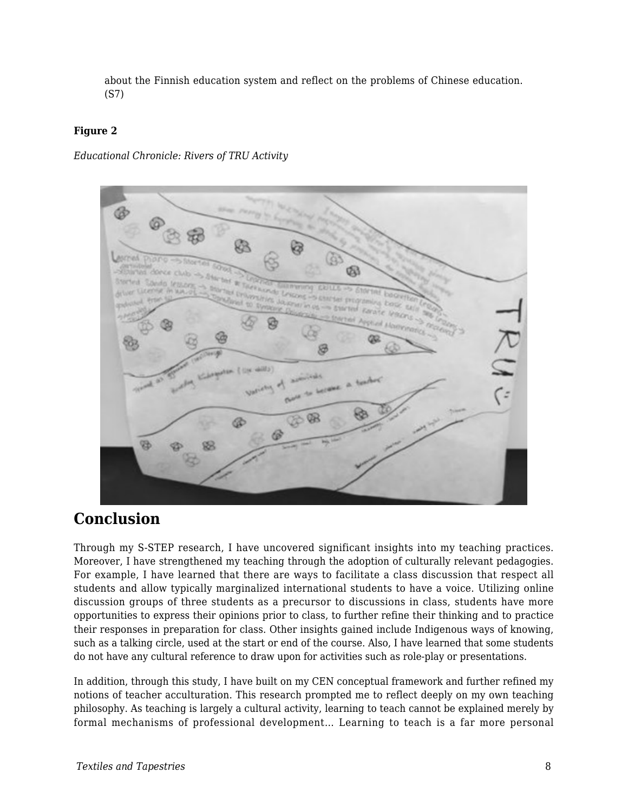about the Finnish education system and reflect on the problems of Chinese education. (S7)

#### **Figure 2**

*Educational Chronicle: Rivers of TRU Activity*



## **Conclusion**

Through my S-STEP research, I have uncovered significant insights into my teaching practices. Moreover, I have strengthened my teaching through the adoption of culturally relevant pedagogies. For example, I have learned that there are ways to facilitate a class discussion that respect all students and allow typically marginalized international students to have a voice. Utilizing online discussion groups of three students as a precursor to discussions in class, students have more opportunities to express their opinions prior to class, to further refine their thinking and to practice their responses in preparation for class. Other insights gained include Indigenous ways of knowing, such as a talking circle, used at the start or end of the course. Also, I have learned that some students do not have any cultural reference to draw upon for activities such as role-play or presentations.

In addition, through this study, I have built on my CEN conceptual framework and further refined my notions of teacher acculturation. This research prompted me to reflect deeply on my own teaching philosophy. As teaching is largely a cultural activity, learning to teach cannot be explained merely by formal mechanisms of professional development… Learning to teach is a far more personal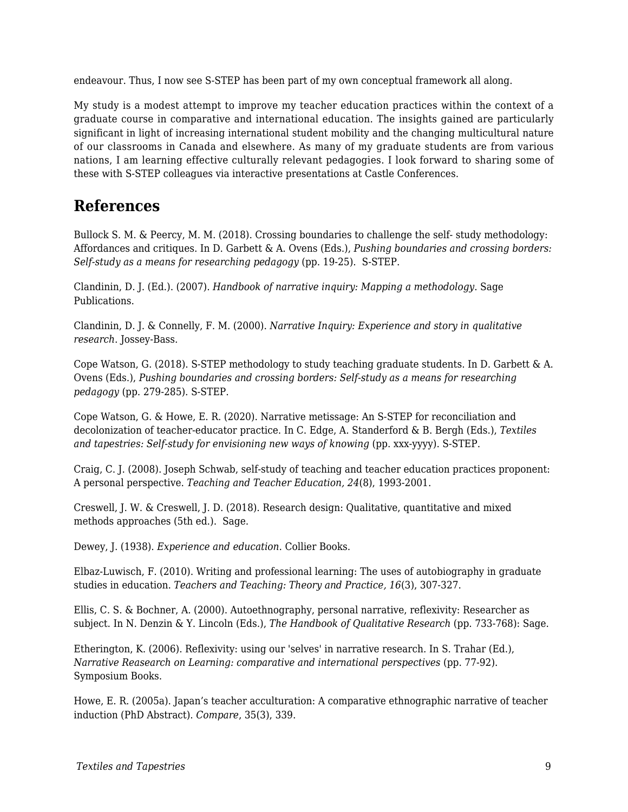endeavour. Thus, I now see S-STEP has been part of my own conceptual framework all along.

My study is a modest attempt to improve my teacher education practices within the context of a graduate course in comparative and international education. The insights gained are particularly significant in light of increasing international student mobility and the changing multicultural nature of our classrooms in Canada and elsewhere. As many of my graduate students are from various nations, I am learning effective culturally relevant pedagogies. I look forward to sharing some of these with S-STEP colleagues via interactive presentations at Castle Conferences.

### **References**

Bullock S. M. & Peercy, M. M. (2018). Crossing boundaries to challenge the self- study methodology: Affordances and critiques. In D. Garbett & A. Ovens (Eds.), *Pushing boundaries and crossing borders: Self-study as a means for researching pedagogy* (pp. 19-25). S-STEP.

Clandinin, D. J. (Ed.). (2007). *Handbook of narrative inquiry: Mapping a methodology*. Sage Publications.

Clandinin, D. J. & Connelly, F. M. (2000). *Narrative Inquiry: Experience and story in qualitative research*. Jossey-Bass.

Cope Watson, G. (2018). S-STEP methodology to study teaching graduate students. In D. Garbett & A. Ovens (Eds.), *Pushing boundaries and crossing borders: Self-study as a means for researching pedagogy* (pp. 279-285). S-STEP.

Cope Watson, G. & Howe, E. R. (2020). Narrative metissage: An S-STEP for reconciliation and decolonization of teacher-educator practice. In C. Edge, A. Standerford & B. Bergh (Eds.), *Textiles and tapestries: Self-study for envisioning new ways of knowing (pp. xxx-yyyy). S-STEP.* 

Craig, C. J. (2008). Joseph Schwab, self-study of teaching and teacher education practices proponent: A personal perspective. *Teaching and Teacher Education, 24*(8), 1993-2001.

Creswell, J. W. & Creswell, J. D. (2018). Research design: Qualitative, quantitative and mixed methods approaches (5th ed.). Sage.

Dewey, J. (1938). *Experience and education*. Collier Books.

Elbaz-Luwisch, F. (2010). Writing and professional learning: The uses of autobiography in graduate studies in education. *Teachers and Teaching: Theory and Practice, 16*(3), 307-327.

Ellis, C. S. & Bochner, A. (2000). Autoethnography, personal narrative, reflexivity: Researcher as subject. In N. Denzin & Y. Lincoln (Eds.), *The Handbook of Qualitative Research* (pp. 733-768): Sage.

Etherington, K. (2006). Reflexivity: using our 'selves' in narrative research. In S. Trahar (Ed.), *Narrative Reasearch on Learning: comparative and international perspectives (pp. 77-92).* Symposium Books.

Howe, E. R. (2005a). Japan's teacher acculturation: A comparative ethnographic narrative of teacher induction (PhD Abstract). *Compare*, 35(3), 339.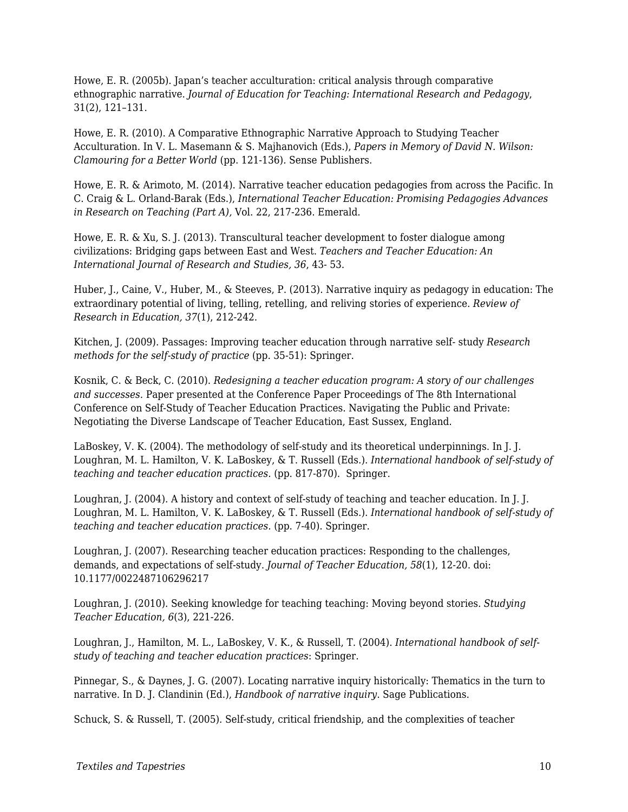Howe, E. R. (2005b). Japan's teacher acculturation: critical analysis through comparative ethnographic narrative. *Journal of Education for Teaching: International Research and Pedagogy*, 31(2), 121–131.

Howe, E. R. (2010). A Comparative Ethnographic Narrative Approach to Studying Teacher Acculturation. In V. L. Masemann & S. Majhanovich (Eds.), *Papers in Memory of David N. Wilson: Clamouring for a Better World* (pp. 121-136)*.* Sense Publishers.

Howe, E. R. & Arimoto, M. (2014). Narrative teacher education pedagogies from across the Pacific. In C. Craig & L. Orland-Barak (Eds.), *International Teacher Education: Promising Pedagogies Advances in Research on Teaching (Part A),* Vol. 22, 217-236. Emerald.

Howe, E. R. & Xu, S. J. (2013). Transcultural teacher development to foster dialogue among civilizations: Bridging gaps between East and West. *Teachers and Teacher Education: An International Journal of Research and Studies, 36*, 43- 53.

Huber, J., Caine, V., Huber, M., & Steeves, P. (2013). Narrative inquiry as pedagogy in education: The extraordinary potential of living, telling, retelling, and reliving stories of experience. *Review of Research in Education, 37*(1), 212-242.

Kitchen, J. (2009). Passages: Improving teacher education through narrative self- study *Research methods for the self-study of practice* (pp. 35-51): Springer.

Kosnik, C. & Beck, C. (2010). *Redesigning a teacher education program: A story of our challenges and successes.* Paper presented at the Conference Paper Proceedings of The 8th International Conference on Self-Study of Teacher Education Practices. Navigating the Public and Private: Negotiating the Diverse Landscape of Teacher Education, East Sussex, England.

LaBoskey, V. K. (2004). The methodology of self-study and its theoretical underpinnings. In J. J. Loughran, M. L. Hamilton, V. K. LaBoskey, & T. Russell (Eds.). *International handbook of self-study of teaching and teacher education practices.* (pp. 817-870). Springer.

Loughran, J. (2004). A history and context of self-study of teaching and teacher education. In J. J. Loughran, M. L. Hamilton, V. K. LaBoskey, & T. Russell (Eds.). *International handbook of self-study of teaching and teacher education practices.* (pp. 7-40). Springer.

Loughran, J. (2007). Researching teacher education practices: Responding to the challenges, demands, and expectations of self-study. *Journal of Teacher Education, 58*(1), 12-20. doi: 10.1177/0022487106296217

Loughran, J. (2010). Seeking knowledge for teaching teaching: Moving beyond stories. *Studying Teacher Education, 6*(3), 221-226.

Loughran, J., Hamilton, M. L., LaBoskey, V. K., & Russell, T. (2004). *International handbook of selfstudy of teaching and teacher education practices*: Springer.

Pinnegar, S., & Daynes, J. G. (2007). Locating narrative inquiry historically: Thematics in the turn to narrative. In D. J. Clandinin (Ed.), *Handbook of narrative inquiry*. Sage Publications.

Schuck, S. & Russell, T. (2005). Self-study, critical friendship, and the complexities of teacher